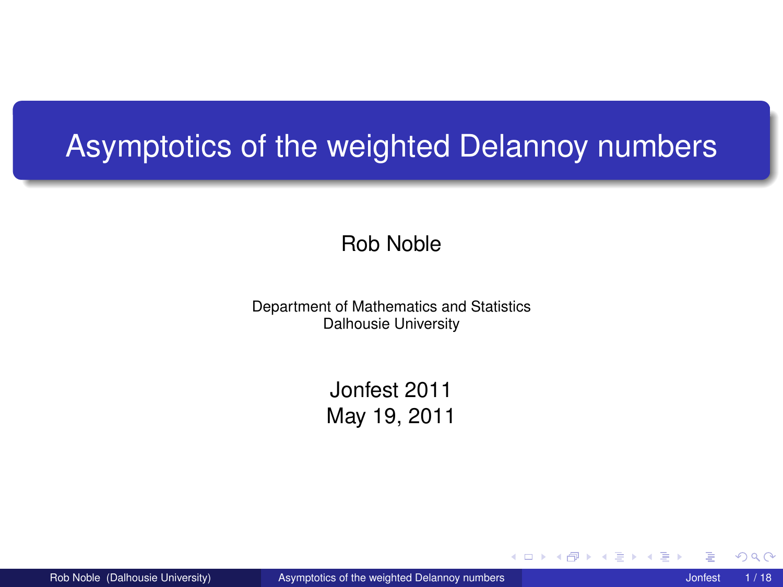#### Asymptotics of the weighted Delannoy numbers

#### Rob Noble

Department of Mathematics and Statistics Dalhousie University

> Jonfest 2011 May 19, 2011

Rob Noble (Dalhousie University) [Asymptotics of the weighted Delannoy numbers](#page-17-0) Jonfest 1/18

4 0 8  $\prec$ 

<span id="page-0-0"></span>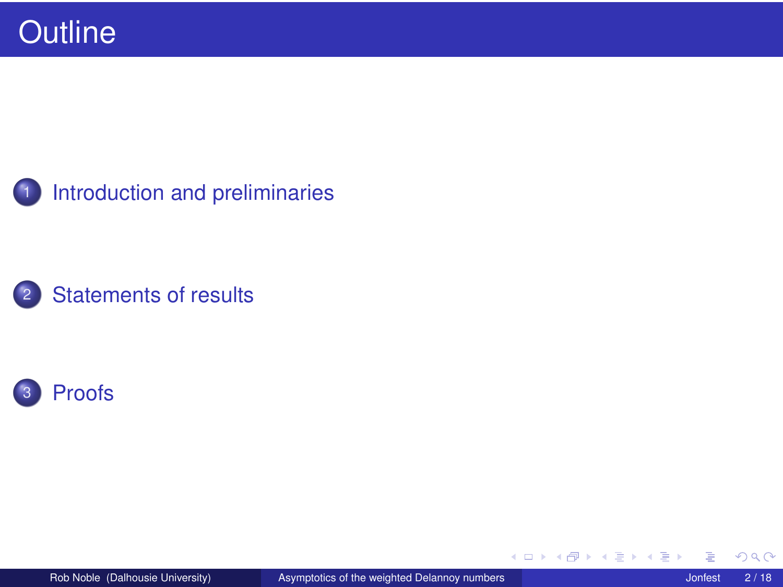[Introduction and preliminaries](#page-2-0)





(ロ) ( d )

ヨト ē.  $\rightarrow$ ∍

×.

 $\rightarrow$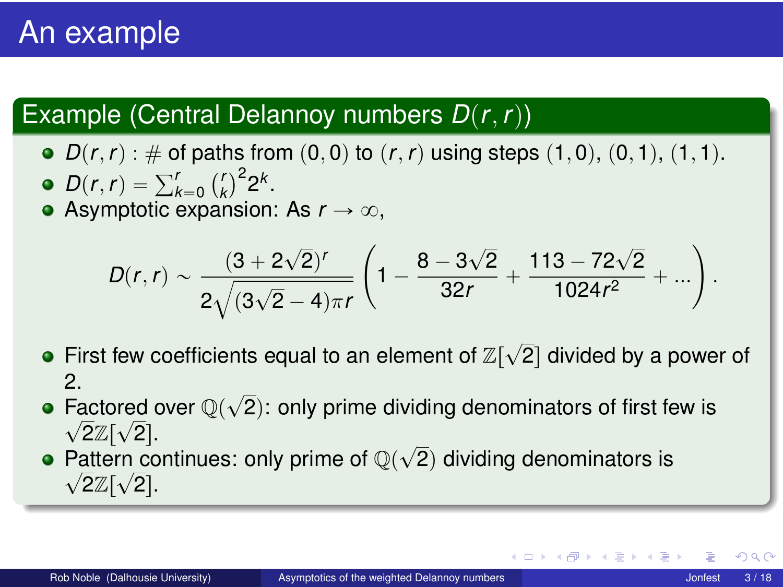## An example

#### Example (Central Delannoy numbers  $D(r, r)$ )

 $D(r, r) : \# \text{ of paths from } (0, 0) \text{ to } (r, r) \text{ using steps } (1, 0), (0, 1), (1, 1).$  $D(r, r) = \sum_{k=0}^{r} {r \choose k}$  $3^{2}$ <sup>2k</sup>.

• Asymptotic expansion: As  $r \to \infty$ ,

$$
D(r,r) \sim \frac{(3+2\sqrt{2})^r}{2\sqrt{(3\sqrt{2}-4)\pi r}} \left(1-\frac{8-3\sqrt{2}}{32r}+\frac{113-72\sqrt{2}}{1024r^2}+\ldots\right).
$$

- First few coefficients equal to an element of  $\mathbb{Z}[\sqrt{2}]$  divided by a power of  $\mathcal{P}$
- z.<br>Factored over  $\mathbb{Q}(\sqrt{2})$ : only prime dividing denominators of first few is  $\sqrt{2}\mathbb{Z}[\sqrt{2}].$
- <span id="page-2-0"></span> $\sqrt{2\pi}$   $\sqrt{2}$ . Pattern continues: only prime of  $\mathbb{Q}(\sqrt{2})$  dividing denominators is  $\overline{2}\mathbb{Z}[\sqrt{2}].$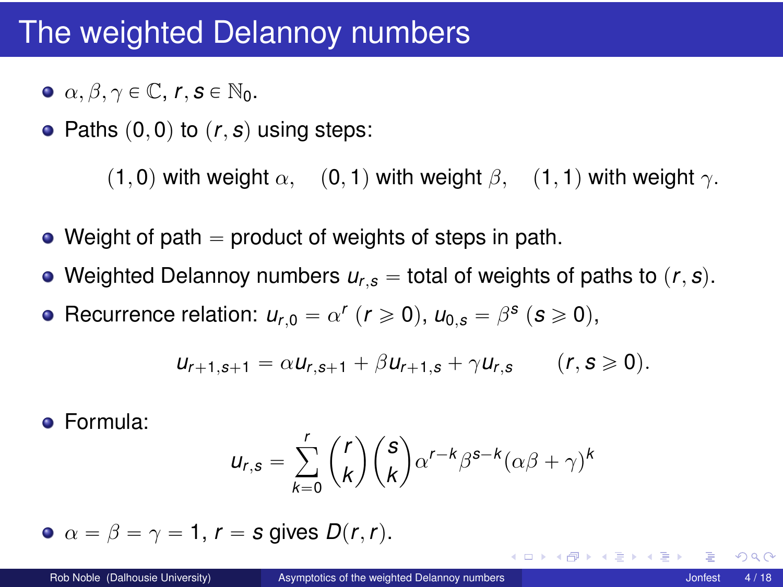#### The weighted Delannoy numbers

- $\alpha$ ,  $\beta$ ,  $\gamma \in \mathbb{C}$ ,  $r, s \in \mathbb{N}_0$ .
- Paths  $(0, 0)$  to  $(r, s)$  using steps:

(1, 0) with weight  $\alpha$ , (0, 1) with weight  $\beta$ , (1, 1) with weight  $\gamma$ .

- $\bullet$  Weight of path  $=$  product of weights of steps in path.
- Weighted Delannoy numbers  $u_{r,s}$  = total of weights of paths to  $(r, s)$ .
- Recurrence relation:  $u_{r,0} = \alpha^r$  ( $r \ge 0$ ),  $u_{0,s} = \beta^s$  ( $s \ge 0$ ),

$$
u_{r+1,s+1} = \alpha u_{r,s+1} + \beta u_{r+1,s} + \gamma u_{r,s} \qquad (r,s \geq 0).
$$

Formula:

$$
u_{r,s} = \sum_{k=0}^r \binom{r}{k} \binom{s}{k} \alpha^{r-k} \beta^{s-k} (\alpha \beta + \gamma)^k
$$

• 
$$
\alpha = \beta = \gamma = 1
$$
,  $r = s$  gives  $D(r, r)$ .

 $QQ$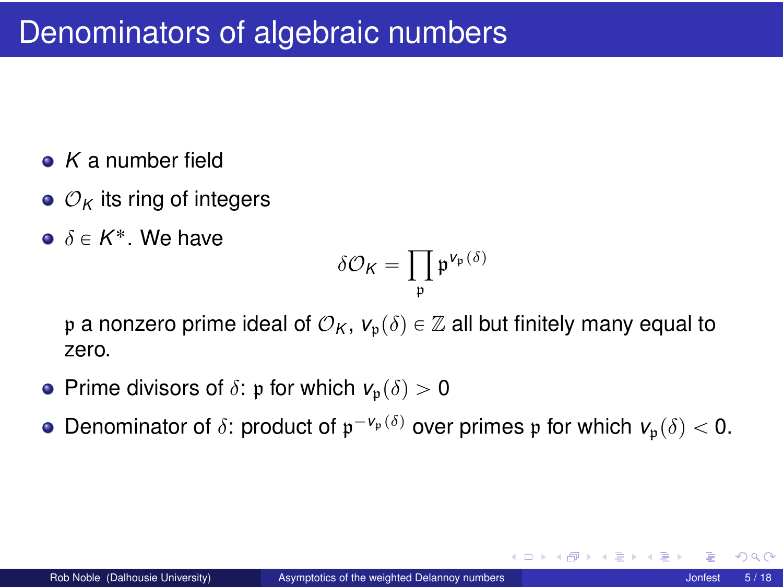- *K* a number field
- $\bullet$   $\mathcal{O}_K$  its ring of integers
- $\delta \in K^*$ . We have

$$
\delta\mathcal{O}_K=\prod_{\mathfrak{p}}\mathfrak{p}^{\mathsf{V}_{\mathfrak{p}}(\delta)}
$$

p a nonzero prime ideal of  $\mathcal{O}_K$ ,  $v_p(\delta) \in \mathbb{Z}$  all but finitely many equal to zero.

- **•** Prime divisors of  $\delta$ : p for which  $v_p(\delta) > 0$
- Denominator of  $\delta$ : product of  $\mathfrak{p}^{-v_{\mathfrak{p}}(\delta)}$  over primes  $\mathfrak{p}$  for which  $v_{\mathfrak{p}}(\delta) < 0$ .

つへへ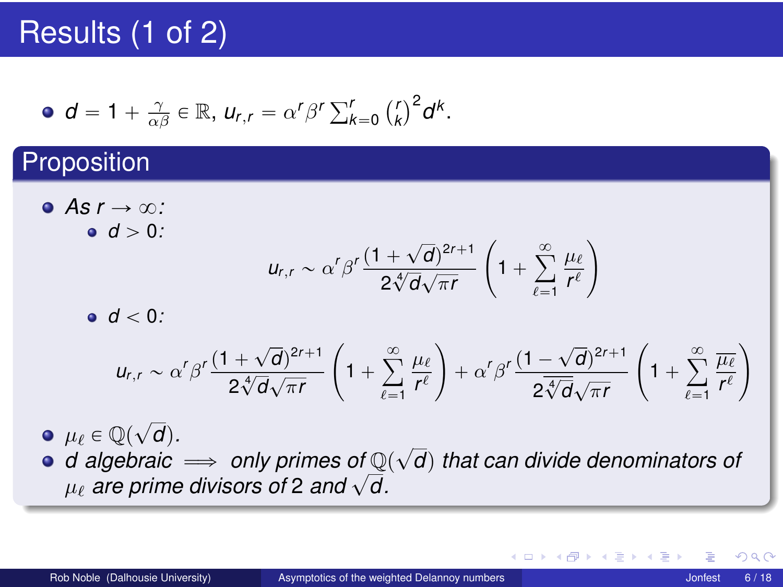## Results (1 of 2)

• 
$$
d = 1 + \frac{\gamma}{\alpha \beta} \in \mathbb{R}
$$
,  $u_{r,r} = \alpha^r \beta^r \sum_{k=0}^r {r \choose k}^2 d^k$ .

#### **Proposition**

 $\bullet$  *As r*  $\rightarrow \infty$ *:*  $d > 0$ :

$$
u_{r,r} \sim \alpha^r \beta^r \frac{(1+\sqrt{d})^{2r+1}}{2\sqrt[4]{d}\sqrt{\pi r}} \left(1+\sum_{\ell=1}^\infty \frac{\mu_\ell}{r^\ell}\right)
$$

 $\bullet$   $d < 0$ *:* 

$$
u_{r,r} \sim \alpha^r \beta^r \frac{(1+\sqrt{d})^{2r+1}}{2\sqrt[4]{d}\sqrt{\pi r}} \left(1+\sum_{\ell=1}^{\infty}\frac{\mu_{\ell}}{r^{\ell}}\right) + \alpha^r \beta^r \frac{(1-\sqrt{d})^{2r+1}}{2\sqrt[3]{d}\sqrt{\pi r}} \left(1+\sum_{\ell=1}^{\infty}\frac{\overline{\mu_{\ell}}}{r^{\ell}}\right)
$$

 $\mu_{\ell} \in \mathbb{Q}(\sqrt{d})$ .

 $\mu_{\ell} \in \mathbb{Q}(\sqrt{d})$ .<br>*d* algebraic  $\implies$  only primes of  $\mathbb{Q}(\sqrt{d})$  that can divide denominators of  $\mu_{\ell}$  are prime divisors of 2 and  $\sqrt{d}$ .

<span id="page-5-0"></span> $290$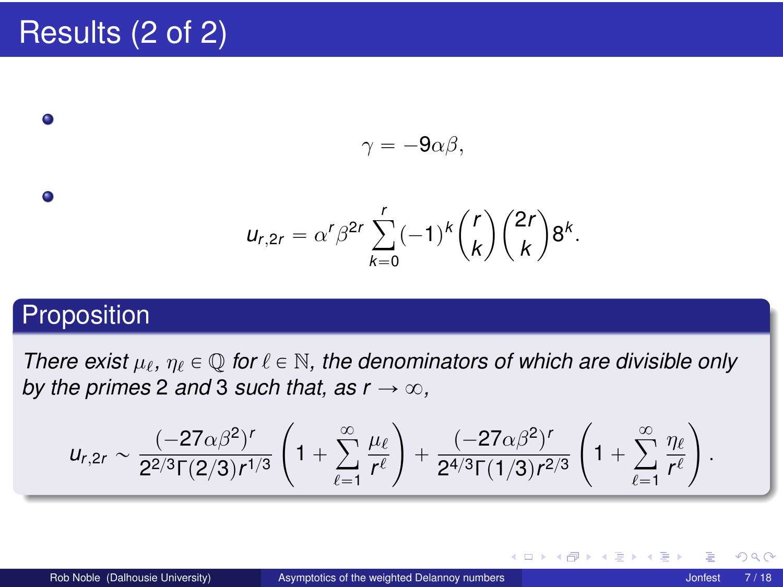## Results (2 of 2)

 $\gamma = -9\alpha\beta,$ 

$$
u_{r,2r} = \alpha^r \beta^{2r} \sum_{k=0}^r (-1)^k {r \choose k} {2r \choose k} 8^k.
$$

#### Proposition

 $\bullet$ 

 $\bullet$ 

*There exist*  $\mu_{\ell}$ ,  $\eta_{\ell} \in \mathbb{Q}$  for  $\ell \in \mathbb{N}$ , the denominators of which are divisible only *by the primes* 2 *and* 3 *such that, as*  $r \rightarrow \infty$ *,* 

$$
u_{r,2r} \sim \frac{(-27\alpha\beta^2)^r}{2^{2/3}\Gamma(2/3)r^{1/3}}\left(1+\sum_{\ell=1}^\infty \frac{\mu_\ell}{r^\ell}\right) + \frac{(-27\alpha\beta^2)^r}{2^{4/3}\Gamma(1/3)r^{2/3}}\left(1+\sum_{\ell=1}^\infty \frac{\eta_\ell}{r^\ell}\right).
$$

∢ □ ▶ ∢ <sup>□</sup>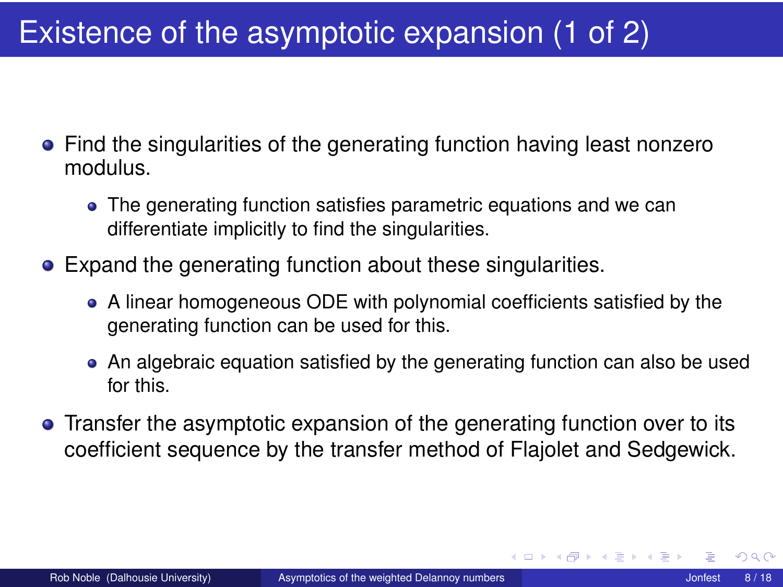## Existence of the asymptotic expansion (1 of 2)

- Find the singularities of the generating function having least nonzero modulus.
	- The generating function satisfies parametric equations and we can differentiate implicitly to find the singularities.
- Expand the generating function about these singularities.
	- A linear homogeneous ODE with polynomial coefficients satisfied by the generating function can be used for this.
	- An algebraic equation satisfied by the generating function can also be used for this.
- Transfer the asymptotic expansion of the generating function over to its coefficient sequence by the transfer method of Flajolet and Sedgewick.

<span id="page-7-0"></span>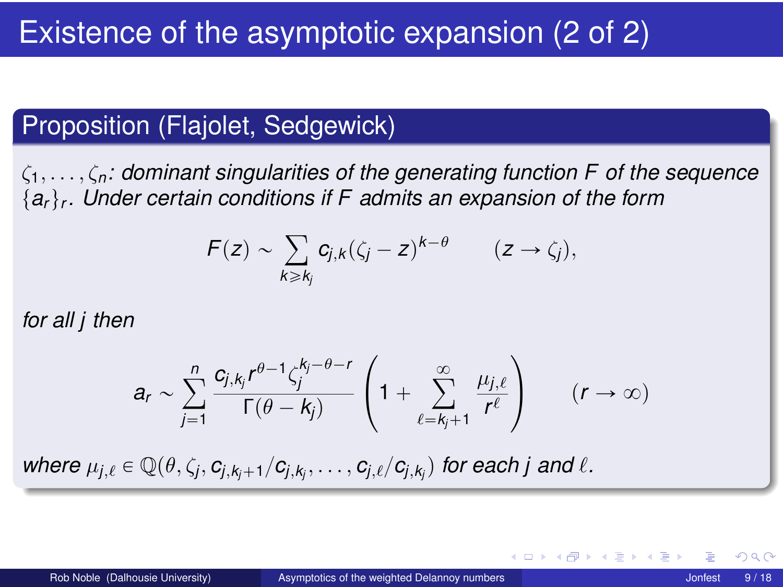## Existence of the asymptotic expansion (2 of 2)

#### Proposition (Flajolet, Sedgewick)

ζ1, . . . , ζ*n: dominant singularities of the generating function F of the sequence*  ${a_r}_r$ . Under certain conditions if F admits an expansion of the form

$$
F(z) \sim \sum_{k \geq k_j} c_{j,k} (\zeta_j - z)^{k-\theta} \qquad (z \to \zeta_j),
$$

*for all j then*

$$
a_r \sim \sum_{j=1}^n \frac{c_{j,k_j}r^{\theta-1}\zeta_j^{k_j-\theta-r}}{\Gamma(\theta-k_j)}\left(1+\sum_{\ell=k_j+1}^\infty \frac{\mu_{j,\ell}}{r^\ell}\right) \qquad (r\to\infty)
$$

 $w$ here  $\mu_{j,\ell} \in \mathbb{Q}(\theta, \zeta_j, c_{j,k_j+1}/c_{j,k_j}, \ldots, c_{j,\ell}/c_{j,k_j})$  for each j and  $\ell$ .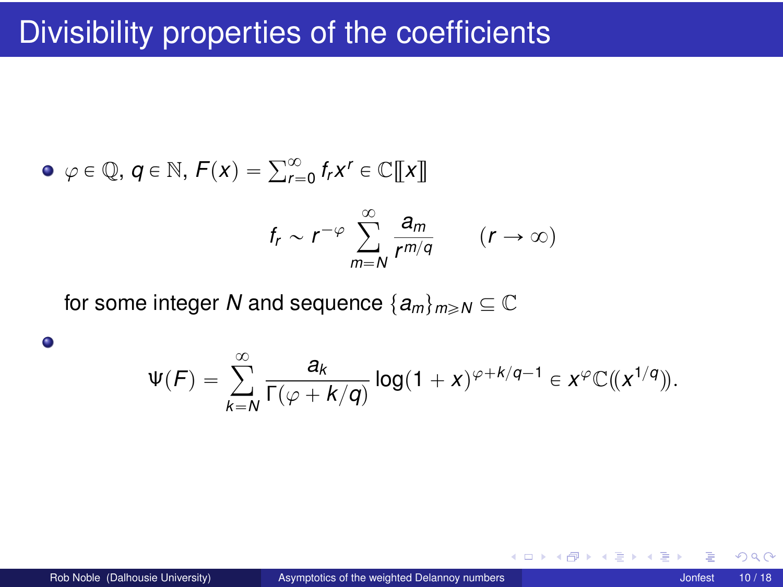$$
\begin{aligned}\n\bullet \varphi \in \mathbb{Q}, \, q \in \mathbb{N}, \, F(x) &= \sum_{r=0}^{\infty} f_r x^r \in \mathbb{C}[\![x]\!]) \\
f_r &\sim r^{-\varphi} \sum_{m=N}^{\infty} \frac{a_m}{r^{m/q}} \qquad (r \to \infty)\n\end{aligned}
$$

for some integer *N* and sequence  $\{a_m\}_{m\geq N}\subseteq\mathbb{C}$ 

$$
\Psi(F) = \sum_{k=N}^{\infty} \frac{a_k}{\Gamma(\varphi + k/q)} \log(1+x)^{\varphi + k/q - 1} \in x^{\varphi} \mathbb{C}(\!(x^{1/q})\!).
$$

 $\bullet$ 

4 0 8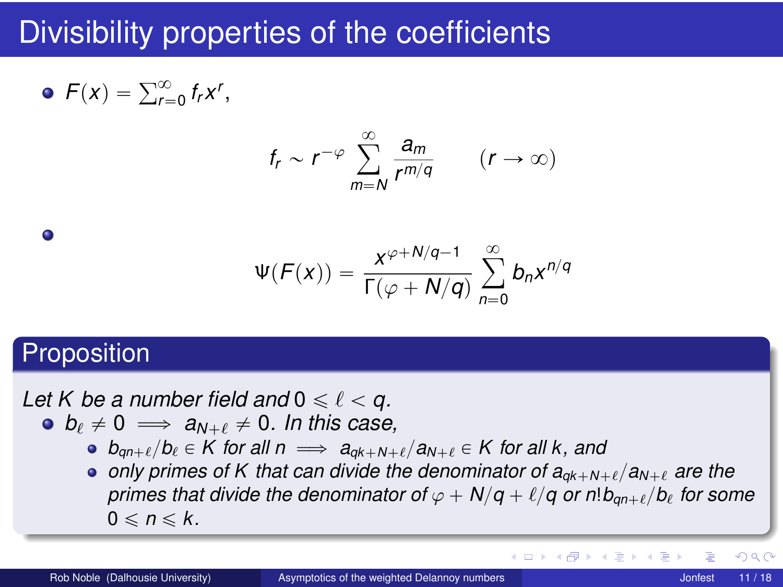$$
\bullet \ \mathcal{F}(x) = \sum_{r=0}^{\infty} f_r x^r,
$$

$$
f_r \sim r^{-\varphi} \sum_{m=N}^{\infty} \frac{a_m}{r^{m/q}} \qquad (r \to \infty)
$$

$$
\Psi(F(x)) = \frac{x^{\varphi + N/q - 1}}{\Gamma(\varphi + N/q)} \sum_{n=0}^{\infty} b_n x^{n/q}
$$

#### **Proposition**

٠

*Let* K be a number field and  $0 \leq \ell < q$ .

- $b_{\ell} \neq 0 \implies a_{N+\ell} \neq 0$ . In this case,
	- $b_{an+\ell}/b_{\ell} \in K$  for all  $n \implies a_{ak+N+\ell}/a_{N+\ell} \in K$  for all k, and
	- **•** only primes of K that can divide the denominator of  $a_{ak+N+\ell}/a_{N+\ell}$  are the *primes that divide the denominator of*  $\varphi + N/q + \ell/q$  or  $n!b_{an+\ell}/b_{\ell}$  for some  $0 \le n \le k$ .

 $\Omega$ 

K ロ ⊁ K 倒 ≯ K 君 ⊁ K 君 ≯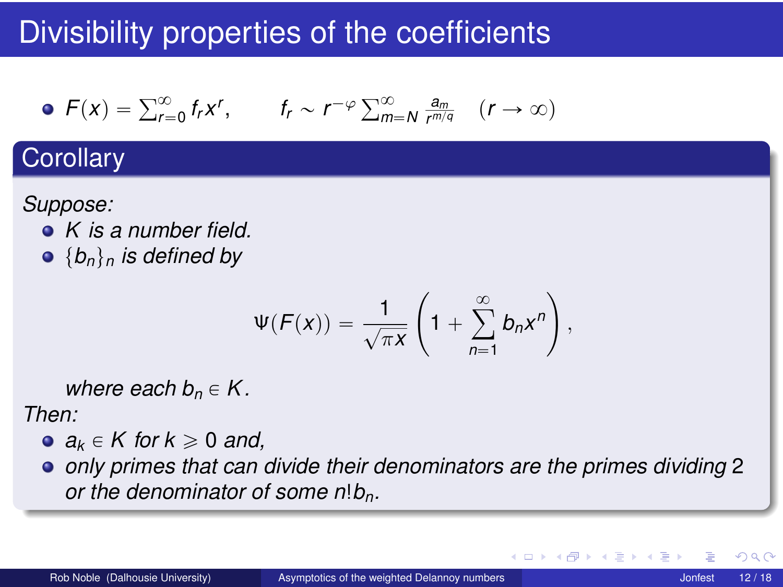• 
$$
F(x) = \sum_{r=0}^{\infty} f_r x^r
$$
,  $f_r \sim r^{-\varphi} \sum_{m=N}^{\infty} \frac{a_m}{r^{m/q}}$   $(r \to \infty)$ 

#### **Corollary**

*Suppose:*

- *K is a number field.*
- $\bullet$  { $b_n$ }<sub>n</sub> is defined by

$$
\Psi(F(x)) = \frac{1}{\sqrt{\pi x}} \left(1 + \sum_{n=1}^{\infty} b_n x^n\right),
$$

*where each*  $b_n \in K$ *.* 

*Then:*

- $a_k \in K$  for  $k \geq 0$  and,
- *only primes that can divide their denominators are the primes dividing* 2 *or the denominator of some n*!*bn.*

4 0 8 4

つへへ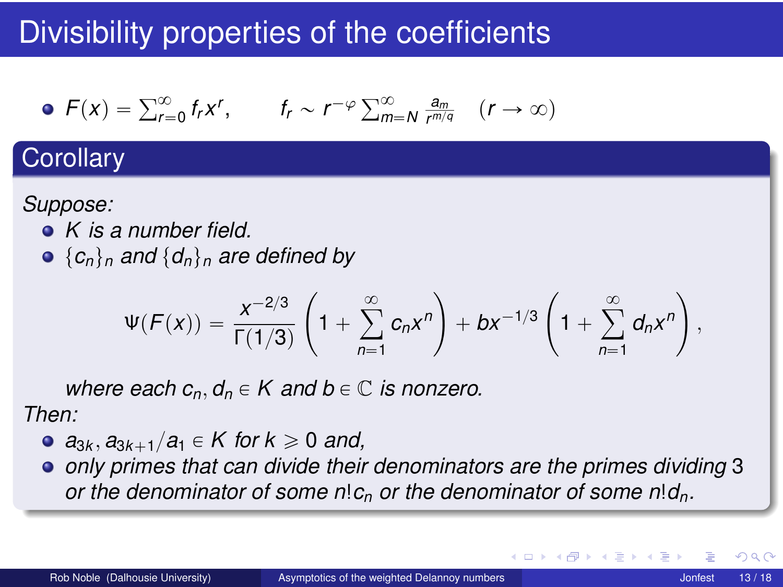• 
$$
F(x) = \sum_{r=0}^{\infty} f_r x^r
$$
,  $f_r \sim r^{-\varphi} \sum_{m=N}^{\infty} \frac{a_m}{r^{m/q}}$   $(r \to \infty)$ 

#### **Corollary**

*Suppose:*

- *K is a number field.*
- $\bullet$  { $c_n$ }<sub>*n*</sub> and { $d_n$ }<sub>*n*</sub> are defined by

$$
\Psi(F(x)) = \frac{x^{-2/3}}{\Gamma(1/3)} \left(1 + \sum_{n=1}^{\infty} c_n x^n\right) + bx^{-1/3} \left(1 + \sum_{n=1}^{\infty} d_n x^n\right),
$$

*where each*  $c_n, d_n \in K$  *and*  $b \in \mathbb{C}$  *is nonzero.* 

*Then:*

- $a_{3k}, a_{3k+1}/a_1 \in K$  for  $k \ge 0$  and,
- *only primes that can divide their denominators are the primes dividing* 3 *or the denominator of some n*!*c<sup>n</sup> or the denominator of some n*!*dn.*

**∢ ロ ▶ ィ 何** 

 $\Omega$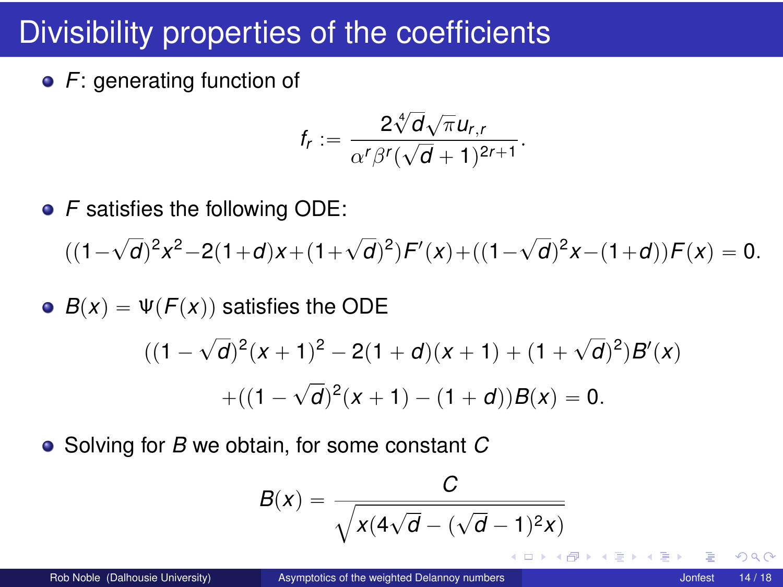**•** F: generating function of

$$
f_r:=\frac{2\sqrt[4]{d}\sqrt{\pi}u_{r,r}}{\alpha^r\beta^r(\sqrt{d}+1)^{2r+1}}.
$$

• *F* satisfies the following ODE:

 $((1 -$ ?  $\overline{d}$ <sup>2</sup> $x^2-2(1+d)x+(1+\sqrt{2})$  $\overline{d}$ <sup>2</sup>) $F'(x) + ((1 -$ ?  $\overline{d}$ <sup>2</sup> $x$  –  $(1+d)$ *)* $F(x) = 0$ .

•  $B(x) = \Psi(F(x))$  satisfies the ODE  $((1 -$ ?  $\overline{d}$ <sup>2</sup> $(x + 1)^2 - 2(1 + d)(x + 1) + (1 + \sqrt{2})$  $\overline{(d)}^2$  $B'(x)$  $+((1 -$ ?  $\overline{d})^2(x+1) - (1+d)$  $B(x) = 0.$ 

Solving for *B* we obtain, for some constant *C*

$$
B(x) = \frac{C}{\sqrt{x(4\sqrt{d} - (\sqrt{d} - 1)^2x)}}
$$

 $QQ$ 

K ロ ▶ K 御 ▶ K 君 ▶ K 君 ▶ │ 君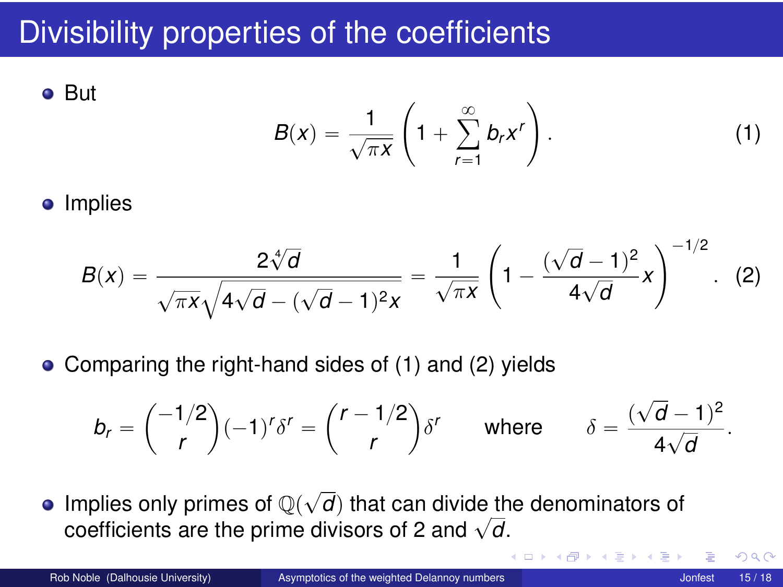**•** But  $B(x) = \frac{1}{\sqrt{\pi x}} \left( 1 + \right)$  $\mathbb{Z}$  $\frac{\infty}{ }$  $r=1$  $b_r x^r$  $\mathbf{z}$  $(1)$ 

• Implies

<span id="page-14-1"></span><span id="page-14-0"></span>
$$
B(x) = \frac{2\sqrt[4]{d}}{\sqrt{\pi x}\sqrt{4\sqrt{d} - (\sqrt{d} - 1)^2 x}} = \frac{1}{\sqrt{\pi x}} \left(1 - \frac{(\sqrt{d} - 1)^2}{4\sqrt{d}} x\right)^{-1/2}.
$$
 (2)

• Comparing the right-hand sides of [\(1\)](#page-14-0) and [\(2\)](#page-14-1) yields

$$
b_r = \binom{-1/2}{r} (-1)^r \delta^r = \binom{r-1/2}{r} \delta^r \quad \text{where} \quad \delta = \frac{(\sqrt{d}-1)^2}{4\sqrt{d}}.
$$

Implies only primes of  $\mathbb{Q}(\sqrt{d})$  that can divide the denominators of miplies only primes or  $\mathbb{Q}(\sqrt{a})$  that can divide the coefficients are the prime divisors of 2 and  $\sqrt{d}$ .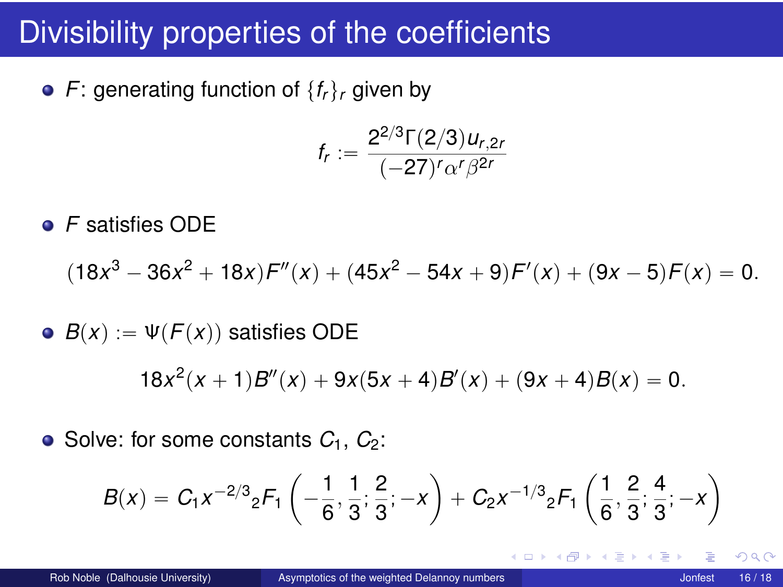• *F*: generating function of  $\{f_r\}_r$  given by

$$
f_r:=\frac{2^{2/3}\Gamma(2/3)u_{r,2r}}{(-27)^r\alpha^r\beta^{2r}}
$$

*F* satisfies ODE

$$
(18x3 - 36x2 + 18x)F''(x) + (45x2 - 54x + 9)F'(x) + (9x - 5)F(x) = 0.
$$

• 
$$
B(x) := \Psi(F(x))
$$
 satisfies ODE  
18 $x^2(x + 1)B''(x) + 9x(5x + 4)B'(x) + (9x + 4)B(x) = 0.$ 

 $\bullet$  Solve: for some constants  $C_1$ ,  $C_2$ :

$$
B(x) = C_1 x^{-2/3} {}_{2}F_1\left(-\frac{1}{6}, \frac{1}{3}; \frac{2}{3}; -x\right) + C_2 x^{-1/3} {}_{2}F_1\left(\frac{1}{6}, \frac{2}{3}; \frac{4}{3}; -x\right)
$$

4 0 8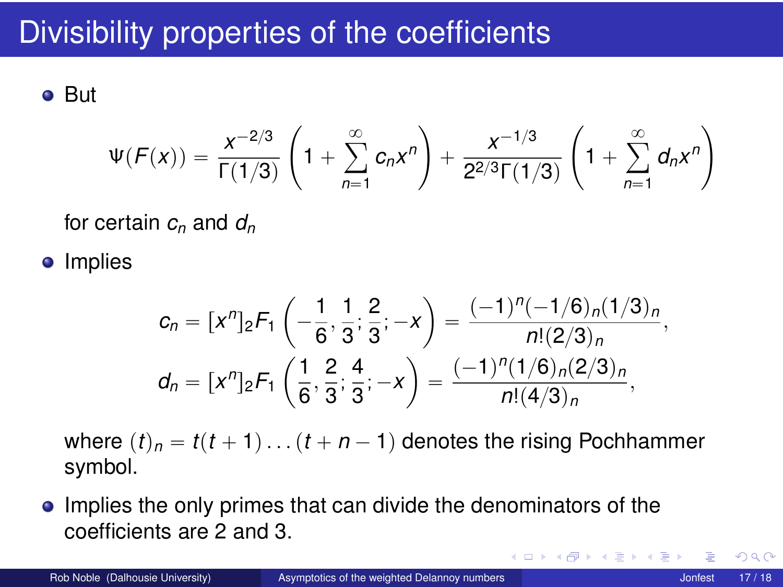But

$$
\Psi(F(x)) = \frac{x^{-2/3}}{\Gamma(1/3)} \left(1 + \sum_{n=1}^{\infty} c_n x^n \right) + \frac{x^{-1/3}}{2^{2/3} \Gamma(1/3)} \left(1 + \sum_{n=1}^{\infty} d_n x^n \right)
$$

for certain *c<sup>n</sup>* and *d<sup>n</sup>*

• Implies

$$
c_n = [x^n]_2 F_1 \left(-\frac{1}{6}, \frac{1}{3}; \frac{2}{3}; -x\right) = \frac{(-1)^n (-1/6)_n (1/3)_n}{n!(2/3)_n},
$$
  

$$
d_n = [x^n]_2 F_1 \left(\frac{1}{6}, \frac{2}{3}; \frac{4}{3}; -x\right) = \frac{(-1)^n (1/6)_n (2/3)_n}{n!(4/3)_n},
$$

where  $(t)_n = t(t+1) \dots (t+n-1)$  denotes the rising Pochhammer symbol.

**Implies the only primes that can divide the denominators of the** coefficients are 2 and 3.

◂**◻▸ ◂<del>╓</del>▸** 

 $\Omega$